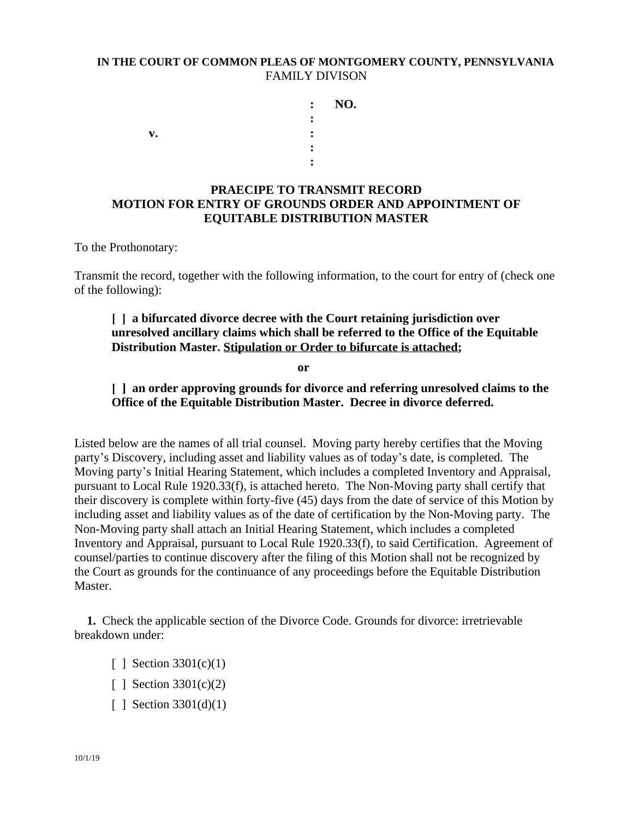## **IN THE COURT OF COMMON PLEAS OF MONTGOMERY COUNTY, PENNSYLVANIA** FAMILY DIVISON

 **: NO. : v.**  $\qquad \qquad$  :  **: :**

## **PRAECIPE TO TRANSMIT RECORD MOTION FOR ENTRY OF GROUNDS ORDER AND APPOINTMENT OF EQUITABLE DISTRIBUTION MASTER**

To the Prothonotary:

Transmit the record, together with the following information, to the court for entry of (check one of the following):

## **[ ] a bifurcated divorce decree with the Court retaining jurisdiction over unresolved ancillary claims which shall be referred to the Office of the Equitable Distribution Master. Stipulation or Order to bifurcate is attached;**

**or**

## **[ ] an order approving grounds for divorce and referring unresolved claims to the Office of the Equitable Distribution Master. Decree in divorce deferred.**

Listed below are the names of all trial counsel. Moving party hereby certifies that the Moving party's Discovery, including asset and liability values as of today's date, is completed. The Moving party's Initial Hearing Statement, which includes a completed Inventory and Appraisal, pursuant to Local Rule 1920.33(f), is attached hereto. The Non-Moving party shall certify that their discovery is complete within forty-five (45) days from the date of service of this Motion by including asset and liability values as of the date of certification by the Non-Moving party. The Non-Moving party shall attach an Initial Hearing Statement, which includes a completed Inventory and Appraisal, pursuant to Local Rule 1920.33(f), to said Certification. Agreement of counsel/parties to continue discovery after the filing of this Motion shall not be recognized by the Court as grounds for the continuance of any proceedings before the Equitable Distribution Master.

**1.** Check the applicable section of the Divorce Code. Grounds for divorce: irretrievable breakdown under:

- [ ] Section 3301(c)(1)
- [ ] Section 3301(c)(2)
- [ ] Section 3301(d)(1)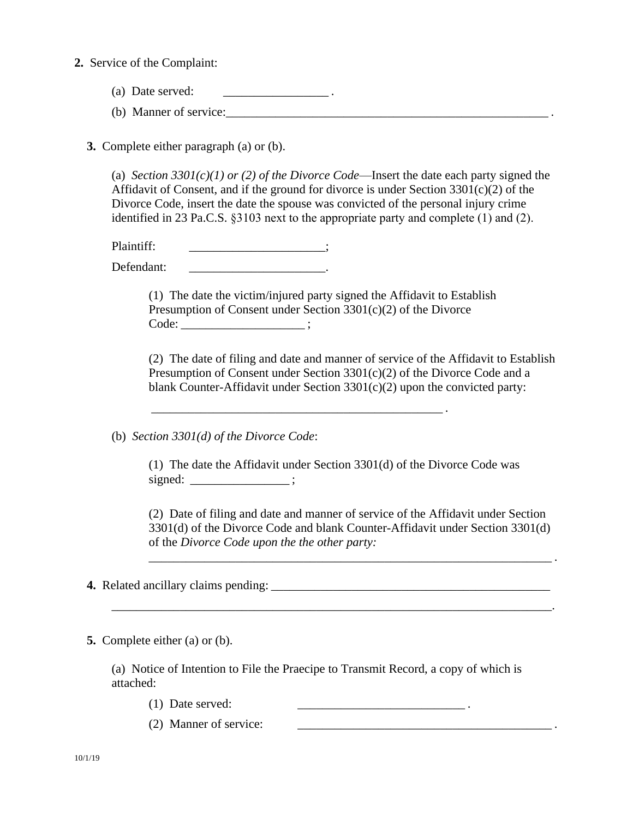**2.** Service of the Complaint:

- (a) Date served:  $\blacksquare$
- (b) Manner of service:\_\_\_\_\_\_\_\_\_\_\_\_\_\_\_\_\_\_\_\_\_\_\_\_\_\_\_\_\_\_\_\_\_\_\_\_\_\_\_\_\_\_\_\_\_\_\_\_\_\_\_\_ .

**3.** Complete either paragraph (a) or (b).

(a) *Section 3301(c)(1) or (2) of the Divorce Code*—Insert the date each party signed the Affidavit of Consent, and if the ground for divorce is under Section  $3301(c)(2)$  of the Divorce Code, insert the date the spouse was convicted of the personal injury crime identified in 23 Pa.C.S. §3103 next to the appropriate party and complete (1) and (2).

Plaintiff:  $\qquad \qquad$  ;

Defendant:

(1) The date the victim/injured party signed the Affidavit to Establish Presumption of Consent under Section 3301(c)(2) of the Divorce Code: \_\_\_\_\_\_\_\_\_\_\_\_\_\_\_\_\_\_\_\_ ;

\_\_\_\_\_\_\_\_\_\_\_\_\_\_\_\_\_\_\_\_\_\_\_\_\_\_\_\_\_\_\_\_\_\_\_\_\_\_\_\_\_\_\_\_\_\_\_ .

(2) The date of filing and date and manner of service of the Affidavit to Establish Presumption of Consent under Section 3301(c)(2) of the Divorce Code and a blank Counter-Affidavit under Section 3301(c)(2) upon the convicted party:

(b) *Section 3301(d) of the Divorce Code*:

(1) The date the Affidavit under Section 3301(d) of the Divorce Code was signed:  $\qquad \qquad ;$ 

\_\_\_\_\_\_\_\_\_\_\_\_\_\_\_\_\_\_\_\_\_\_\_\_\_\_\_\_\_\_\_\_\_\_\_\_\_\_\_\_\_\_\_\_\_\_\_\_\_\_\_\_\_\_\_\_\_\_\_\_\_\_\_\_\_\_\_\_\_\_\_.

(2) Date of filing and date and manner of service of the Affidavit under Section 3301(d) of the Divorce Code and blank Counter-Affidavit under Section 3301(d) of the *Divorce Code upon the the other party:*

\_\_\_\_\_\_\_\_\_\_\_\_\_\_\_\_\_\_\_\_\_\_\_\_\_\_\_\_\_\_\_\_\_\_\_\_\_\_\_\_\_\_\_\_\_\_\_\_\_\_\_\_\_\_\_\_\_\_\_\_\_\_\_\_\_ .

**4.** Related ancillary claims pending: \_\_\_\_\_\_\_\_\_\_\_\_\_\_\_\_\_\_\_\_\_\_\_\_\_\_\_\_\_\_\_\_\_\_\_\_\_\_\_\_\_\_\_\_\_

**5.** Complete either (a) or (b).

(a) Notice of Intention to File the Praecipe to Transmit Record, a copy of which is attached:

- (1) Date served:  $\frac{1}{2}$  and  $\frac{1}{2}$  .
- $(2)$  Manner of service: